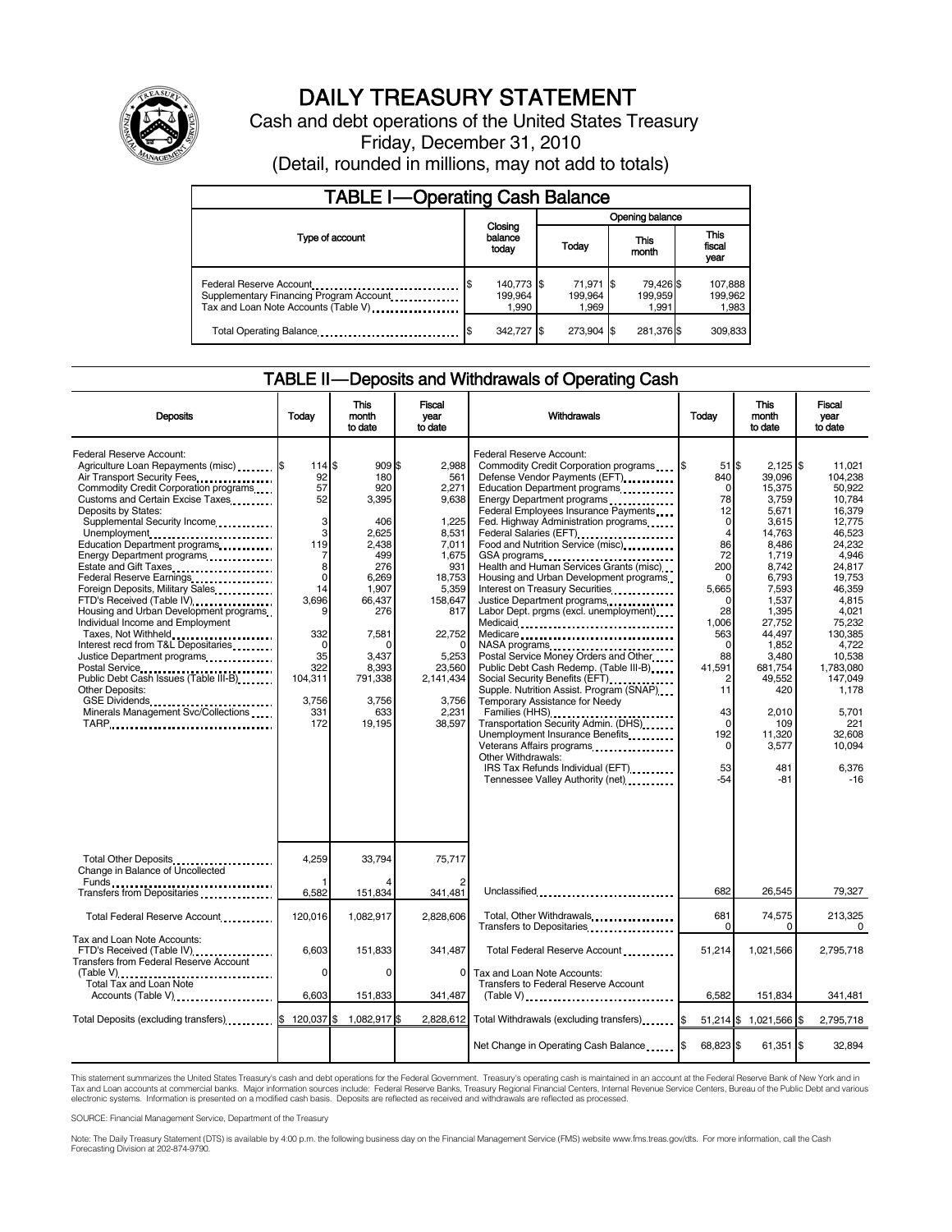

# DAILY TREASURY STATEMENT

Cash and debt operations of the United States Treasury Friday, December 31, 2010 (Detail, rounded in millions, may not add to totals)

| <b>TABLE I-Operating Cash Balance</b>                                                                      |                                       |  |                               |                               |                               |  |  |  |
|------------------------------------------------------------------------------------------------------------|---------------------------------------|--|-------------------------------|-------------------------------|-------------------------------|--|--|--|
|                                                                                                            | Closing<br>balance<br>today           |  | Opening balance               |                               |                               |  |  |  |
| Type of account                                                                                            |                                       |  | Today                         | This<br>month                 | <b>This</b><br>fiscal<br>year |  |  |  |
| Federal Reserve Account<br>Supplementary Financing Program Account<br>Tax and Loan Note Accounts (Table V) | 140,773 \$<br>۱\$<br>199.964<br>1,990 |  | 71,971 \$<br>199.964<br>1.969 | 79,426 \$<br>199.959<br>1.991 | 107,888<br>199,962<br>1,983   |  |  |  |
| Total Operating Balance                                                                                    | 342,727 \$<br>S                       |  | 273.904                       | 281,376 \$                    | 309,833                       |  |  |  |

## TABLE II — Deposits and Withdrawals of Operating Cash

| <b>Deposits</b>                                                                                                                                                                                                                                                                                                                                                                                                                                                                                                                                                                                                                                                                                                                                  | Today                                                                                                                                                    | This<br>month<br>to date                                                                                                                                                     | Fiscal<br>vear<br>to date                                                                                                                                                            | Withdrawals                                                                                                                                                                                                                                                                                                                                                                                                                                                                                                                                                                                                                                                                                                                                                                                                                                                                                                                                                            | Today                                                                                                                                                                                                                                         | <b>This</b><br>month<br>to date                                                                                                                                                                                                                        | Fiscal<br>year<br>to date                                                                                                                                                                                                                                             |
|--------------------------------------------------------------------------------------------------------------------------------------------------------------------------------------------------------------------------------------------------------------------------------------------------------------------------------------------------------------------------------------------------------------------------------------------------------------------------------------------------------------------------------------------------------------------------------------------------------------------------------------------------------------------------------------------------------------------------------------------------|----------------------------------------------------------------------------------------------------------------------------------------------------------|------------------------------------------------------------------------------------------------------------------------------------------------------------------------------|--------------------------------------------------------------------------------------------------------------------------------------------------------------------------------------|------------------------------------------------------------------------------------------------------------------------------------------------------------------------------------------------------------------------------------------------------------------------------------------------------------------------------------------------------------------------------------------------------------------------------------------------------------------------------------------------------------------------------------------------------------------------------------------------------------------------------------------------------------------------------------------------------------------------------------------------------------------------------------------------------------------------------------------------------------------------------------------------------------------------------------------------------------------------|-----------------------------------------------------------------------------------------------------------------------------------------------------------------------------------------------------------------------------------------------|--------------------------------------------------------------------------------------------------------------------------------------------------------------------------------------------------------------------------------------------------------|-----------------------------------------------------------------------------------------------------------------------------------------------------------------------------------------------------------------------------------------------------------------------|
| Federal Reserve Account:<br>Agriculture Loan Repayments (misc) \$<br>Air Transport Security Fees<br>Commodity Credit Corporation programs<br>Customs and Certain Excise Taxes<br>Deposits by States:<br>Supplemental Security Income<br>Unemployment<br>Education Department programs<br>Energy Department programs<br>Estate and Gift Taxes<br>Federal Reserve Earnings<br>Foreign Deposits, Military Sales<br>FTD's Received (Table IV)<br>Housing and Urban Development programs<br>Individual Income and Employment<br>Taxes, Not Withheld<br>Interest recd from T&L Depositaries<br>Justice Department programs<br>Public Debt Cash Issues (Table III-B)<br>Other Deposits:<br>GSE Dividends<br>Minerals Management Svc/Collections<br>TARP | 114 \$<br>92<br>57<br>52<br>3<br>3<br>119<br>7<br>8<br>$\mathbf 0$<br>14<br>3.696<br>9<br>332<br>$\Omega$<br>35<br>322<br>104,311<br>3.756<br>331<br>172 | 909 \$<br>180<br>920<br>3,395<br>406<br>2.625<br>2.438<br>499<br>276<br>6.269<br>1,907<br>66.437<br>276<br>7,581<br>0<br>3.437<br>8,393<br>791,338<br>3.756<br>633<br>19,195 | 2.988<br>561<br>2,271<br>9,638<br>1,225<br>8,531<br>7,011<br>1.675<br>931<br>18,753<br>5,359<br>158,647<br>817<br>22,752<br>5,253<br>23,560<br>2,141,434<br>3.756<br>2,231<br>38,597 | Federal Reserve Account:<br>Defense Vendor Payments (EFT)<br>Education Department programs<br>Energy Department programs<br>Federal Employees Insurance Payments<br>Fed. Highway Administration programs<br>Federal Salaries (EFT)<br>Food and Nutrition Service (misc) [100]<br>GSA programs<br>Health and Human Services Grants (misc)<br>Housing and Urban Development programs<br>Interest on Treasury Securities<br>Justice Department programs<br><br>Labor Dept. prgms (excl. unemployment)<br>Medicaid<br>Medicare<br>NASA programs<br>Postal Service Money Orders and Other<br>Public Debt Cash Redemp. (Table III-B)<br>Social Security Benefits (EFT)<br>Supple. Nutrition Assist. Program (SNAP)<br>Temporary Assistance for Needy<br>Families (HHS)<br>Transportation Security Admin. (DHS)<br>Unemployment Insurance Benefits<br>Veterans Affairs programs<br>Other Withdrawals:<br>IRS Tax Refunds Individual (EFT)<br>Tennessee Valley Authority (net) | $51$ $\overline{\text{S}}$<br>840<br>$\mathbf 0$<br>78<br>12<br>$\Omega$<br>4<br>86<br>72<br>200<br>$\Omega$<br>5,665<br>$\Omega$<br>28<br>1.006<br>563<br>$\Omega$<br>88<br>41,591<br>11<br>43<br>$\Omega$<br>192<br>$\Omega$<br>53<br>$-54$ | $2.125$ S<br>39.096<br>15,375<br>3,759<br>5.671<br>3.615<br>14,763<br>8,486<br>1,719<br>8.742<br>6.793<br>7,593<br>1,537<br>1,395<br>27,752<br>44.497<br>1.852<br>3,480<br>681,754<br>49.552<br>420<br>2,010<br>109<br>11,320<br>3.577<br>481<br>$-81$ | 11.021<br>104,238<br>50.922<br>10,784<br>16.379<br>12.775<br>46.523<br>24.232<br>4.946<br>24.817<br>19.753<br>46.359<br>4.815<br>4,021<br>75,232<br>130.385<br>4.722<br>10,538<br>1.783.080<br>147.049<br>1.178<br>5,701<br>221<br>32.608<br>10,094<br>6.376<br>$-16$ |
| Total Other Deposits<br>Change in Balance of Uncollected                                                                                                                                                                                                                                                                                                                                                                                                                                                                                                                                                                                                                                                                                         | 4,259                                                                                                                                                    | 33,794                                                                                                                                                                       | 75,717                                                                                                                                                                               |                                                                                                                                                                                                                                                                                                                                                                                                                                                                                                                                                                                                                                                                                                                                                                                                                                                                                                                                                                        |                                                                                                                                                                                                                                               |                                                                                                                                                                                                                                                        |                                                                                                                                                                                                                                                                       |
| Transfers from Depositaries                                                                                                                                                                                                                                                                                                                                                                                                                                                                                                                                                                                                                                                                                                                      | 6,582                                                                                                                                                    | 151,834                                                                                                                                                                      | 341,481                                                                                                                                                                              | Unclassified                                                                                                                                                                                                                                                                                                                                                                                                                                                                                                                                                                                                                                                                                                                                                                                                                                                                                                                                                           | 682                                                                                                                                                                                                                                           | 26,545                                                                                                                                                                                                                                                 | 79,327                                                                                                                                                                                                                                                                |
| Total Federal Reserve Account                                                                                                                                                                                                                                                                                                                                                                                                                                                                                                                                                                                                                                                                                                                    | 120,016                                                                                                                                                  | 1,082,917                                                                                                                                                                    | 2,828,606                                                                                                                                                                            | Total, Other Withdrawals<br>Transfers to Depositaries                                                                                                                                                                                                                                                                                                                                                                                                                                                                                                                                                                                                                                                                                                                                                                                                                                                                                                                  | 681<br>$\Omega$                                                                                                                                                                                                                               | 74,575<br>$\Omega$                                                                                                                                                                                                                                     | 213,325<br>0                                                                                                                                                                                                                                                          |
| Tax and Loan Note Accounts:<br>FTD's Received (Table IV)<br><b>Transfers from Federal Reserve Account</b><br>(Table V)<br>Total Tax and Loan Note                                                                                                                                                                                                                                                                                                                                                                                                                                                                                                                                                                                                | 6,603<br>0                                                                                                                                               | 151,833<br>0                                                                                                                                                                 | 341,487<br>0                                                                                                                                                                         | Total Federal Reserve Account<br>Tax and Loan Note Accounts:<br>Transfers to Federal Reserve Account                                                                                                                                                                                                                                                                                                                                                                                                                                                                                                                                                                                                                                                                                                                                                                                                                                                                   | 51,214                                                                                                                                                                                                                                        | 1,021,566                                                                                                                                                                                                                                              | 2,795,718                                                                                                                                                                                                                                                             |
| Accounts (Table V)                                                                                                                                                                                                                                                                                                                                                                                                                                                                                                                                                                                                                                                                                                                               | 6,603                                                                                                                                                    | 151,833                                                                                                                                                                      | 341,487                                                                                                                                                                              |                                                                                                                                                                                                                                                                                                                                                                                                                                                                                                                                                                                                                                                                                                                                                                                                                                                                                                                                                                        | 6,582                                                                                                                                                                                                                                         | 151,834                                                                                                                                                                                                                                                | 341,481                                                                                                                                                                                                                                                               |
|                                                                                                                                                                                                                                                                                                                                                                                                                                                                                                                                                                                                                                                                                                                                                  | 120.037 \$                                                                                                                                               | 1,082,917 \$                                                                                                                                                                 | 2.828.612                                                                                                                                                                            | Total Withdrawals (excluding transfers) 5                                                                                                                                                                                                                                                                                                                                                                                                                                                                                                                                                                                                                                                                                                                                                                                                                                                                                                                              |                                                                                                                                                                                                                                               | 51,214 \$ 1,021,566 \$                                                                                                                                                                                                                                 | 2,795,718                                                                                                                                                                                                                                                             |
|                                                                                                                                                                                                                                                                                                                                                                                                                                                                                                                                                                                                                                                                                                                                                  |                                                                                                                                                          |                                                                                                                                                                              |                                                                                                                                                                                      | Net Change in Operating Cash Balance                                                                                                                                                                                                                                                                                                                                                                                                                                                                                                                                                                                                                                                                                                                                                                                                                                                                                                                                   | 68,823 \$                                                                                                                                                                                                                                     | 61,351 \$                                                                                                                                                                                                                                              | 32.894                                                                                                                                                                                                                                                                |

This statement summarizes the United States Treasury's cash and debt operations for the Federal Government. Treasury's operating cash is maintained in an account at the Federal Reserve Bank of New York and in<br>Tax and Loan

SOURCE: Financial Management Service, Department of the Treasury

Note: The Daily Treasury Statement (DTS) is available by 4:00 p.m. the following business day on the Financial Management Service (FMS) website www.fms.treas.gov/dts. For more information, call the Cash Forecasting Division at 202-874-9790.